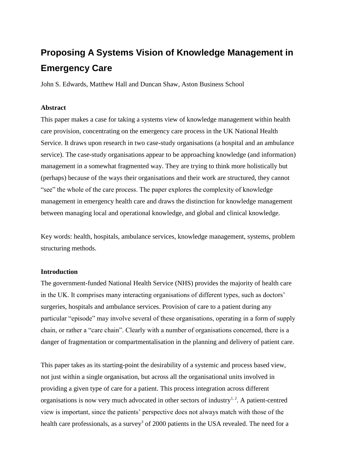# **Proposing A Systems Vision of Knowledge Management in Emergency Care**

John S. Edwards, Matthew Hall and Duncan Shaw, Aston Business School

## **Abstract**

This paper makes a case for taking a systems view of knowledge management within health care provision, concentrating on the emergency care process in the UK National Health Service. It draws upon research in two case-study organisations (a hospital and an ambulance service). The case-study organisations appear to be approaching knowledge (and information) management in a somewhat fragmented way. They are trying to think more holistically but (perhaps) because of the ways their organisations and their work are structured, they cannot "see" the whole of the care process. The paper explores the complexity of knowledge management in emergency health care and draws the distinction for knowledge management between managing local and operational knowledge, and global and clinical knowledge.

Key words: health, hospitals, ambulance services, knowledge management, systems, problem structuring methods.

#### **Introduction**

The government-funded National Health Service (NHS) provides the majority of health care in the UK. It comprises many interacting organisations of different types, such as doctors" surgeries, hospitals and ambulance services. Provision of care to a patient during any particular "episode" may involve several of these organisations, operating in a form of supply chain, or rather a "care chain". Clearly with a number of organisations concerned, there is a danger of fragmentation or compartmentalisation in the planning and delivery of patient care.

This paper takes as its starting-point the desirability of a systemic and process based view, not just within a single organisation, but across all the organisational units involved in providing a given type of care for a patient. This process integration across different organisations is now very much advocated in other sectors of industry<sup>1, 2</sup>. A patient-centred view is important, since the patients" perspective does not always match with those of the health care professionals, as a survey<sup>3</sup> of 2000 patients in the USA revealed. The need for a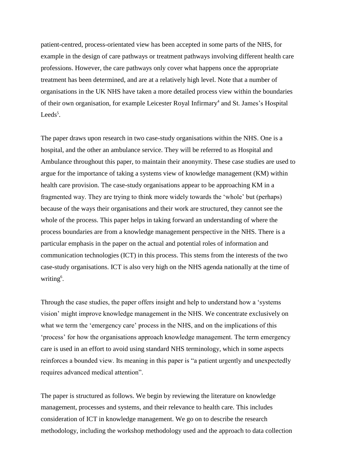patient-centred, process-orientated view has been accepted in some parts of the NHS, for example in the design of care pathways or treatment pathways involving different health care professions. However, the care pathways only cover what happens once the appropriate treatment has been determined, and are at a relatively high level. Note that a number of organisations in the UK NHS have taken a more detailed process view within the boundaries of their own organisation, for example Leicester Royal Infirmary<sup>4</sup> and St. James's Hospital Leeds<sup>5</sup>.

The paper draws upon research in two case-study organisations within the NHS. One is a hospital, and the other an ambulance service. They will be referred to as Hospital and Ambulance throughout this paper, to maintain their anonymity. These case studies are used to argue for the importance of taking a systems view of knowledge management (KM) within health care provision. The case-study organisations appear to be approaching KM in a fragmented way. They are trying to think more widely towards the "whole" but (perhaps) because of the ways their organisations and their work are structured, they cannot see the whole of the process. This paper helps in taking forward an understanding of where the process boundaries are from a knowledge management perspective in the NHS. There is a particular emphasis in the paper on the actual and potential roles of information and communication technologies (ICT) in this process. This stems from the interests of the two case-study organisations. ICT is also very high on the NHS agenda nationally at the time of writing<sup>6</sup>.

Through the case studies, the paper offers insight and help to understand how a "systems vision" might improve knowledge management in the NHS. We concentrate exclusively on what we term the 'emergency care' process in the NHS, and on the implications of this "process" for how the organisations approach knowledge management. The term emergency care is used in an effort to avoid using standard NHS terminology, which in some aspects reinforces a bounded view. Its meaning in this paper is "a patient urgently and unexpectedly requires advanced medical attention".

The paper is structured as follows. We begin by reviewing the literature on knowledge management, processes and systems, and their relevance to health care. This includes consideration of ICT in knowledge management. We go on to describe the research methodology, including the workshop methodology used and the approach to data collection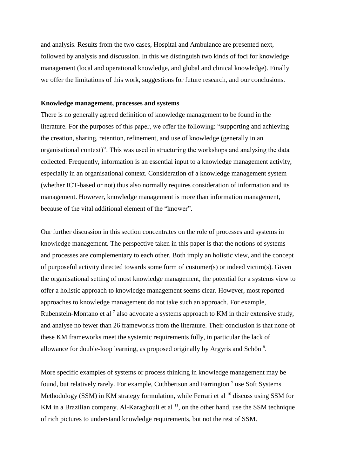and analysis. Results from the two cases, Hospital and Ambulance are presented next, followed by analysis and discussion. In this we distinguish two kinds of foci for knowledge management (local and operational knowledge, and global and clinical knowledge). Finally we offer the limitations of this work, suggestions for future research, and our conclusions.

#### **Knowledge management, processes and systems**

There is no generally agreed definition of knowledge management to be found in the literature. For the purposes of this paper, we offer the following: "supporting and achieving the creation, sharing, retention, refinement, and use of knowledge (generally in an organisational context)". This was used in structuring the workshops and analysing the data collected. Frequently, information is an essential input to a knowledge management activity, especially in an organisational context. Consideration of a knowledge management system (whether ICT-based or not) thus also normally requires consideration of information and its management. However, knowledge management is more than information management, because of the vital additional element of the "knower".

Our further discussion in this section concentrates on the role of processes and systems in knowledge management. The perspective taken in this paper is that the notions of systems and processes are complementary to each other. Both imply an holistic view, and the concept of purposeful activity directed towards some form of customer(s) or indeed victim(s). Given the organisational setting of most knowledge management, the potential for a systems view to offer a holistic approach to knowledge management seems clear. However, most reported approaches to knowledge management do not take such an approach. For example, Rubenstein-Montano et al  $<sup>7</sup>$  also advocate a systems approach to KM in their extensive study,</sup> and analyse no fewer than 26 frameworks from the literature. Their conclusion is that none of these KM frameworks meet the systemic requirements fully, in particular the lack of allowance for double-loop learning, as proposed originally by Argyris and Schön<sup>8</sup>.

More specific examples of systems or process thinking in knowledge management may be found, but relatively rarely. For example, Cuthbertson and Farrington <sup>9</sup> use Soft Systems Methodology (SSM) in KM strategy formulation, while Ferrari et al <sup>10</sup> discuss using SSM for KM in a Brazilian company. Al-Karaghouli et al  $\frac{11}{1}$ , on the other hand, use the SSM technique of rich pictures to understand knowledge requirements, but not the rest of SSM.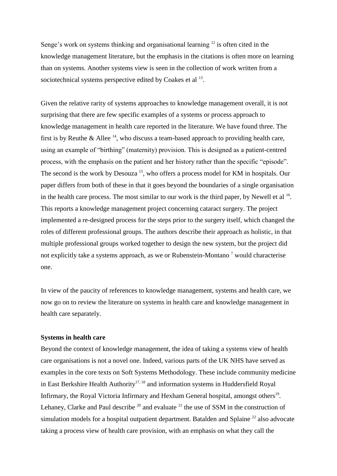Senge's work on systems thinking and organisational learning <sup>12</sup> is often cited in the knowledge management literature, but the emphasis in the citations is often more on learning than on systems. Another systems view is seen in the collection of work written from a sociotechnical systems perspective edited by Coakes et al<sup>13</sup>.

Given the relative rarity of systems approaches to knowledge management overall, it is not surprising that there are few specific examples of a systems or process approach to knowledge management in health care reported in the literature. We have found three. The first is by Reuthe & Allee  $^{14}$ , who discuss a team-based approach to providing health care, using an example of "birthing" (maternity) provision. This is designed as a patient-centred process, with the emphasis on the patient and her history rather than the specific "episode". The second is the work by Desouza<sup>15</sup>, who offers a process model for KM in hospitals. Our paper differs from both of these in that it goes beyond the boundaries of a single organisation in the health care process. The most similar to our work is the third paper, by Newell et al  $^{16}$ . This reports a knowledge management project concerning cataract surgery. The project implemented a re-designed process for the steps prior to the surgery itself, which changed the roles of different professional groups. The authors describe their approach as holistic, in that multiple professional groups worked together to design the new system, but the project did not explicitly take a systems approach, as we or Rubenstein-Montano<sup>7</sup> would characterise one.

In view of the paucity of references to knowledge management, systems and health care, we now go on to review the literature on systems in health care and knowledge management in health care separately.

#### **Systems in health care**

Beyond the context of knowledge management, the idea of taking a systems view of health care organisations is not a novel one. Indeed, various parts of the UK NHS have served as examples in the core texts on Soft Systems Methodology. These include community medicine in East Berkshire Health Authority<sup>17, 18</sup> and information systems in Huddersfield Royal Infirmary, the Royal Victoria Infirmary and Hexham General hospital, amongst others<sup>19</sup>. Lehaney, Clarke and Paul describe  $^{20}$  and evaluate  $^{21}$  the use of SSM in the construction of simulation models for a hospital outpatient department. Batalden and Splaine  $^{22}$  also advocate taking a process view of health care provision, with an emphasis on what they call the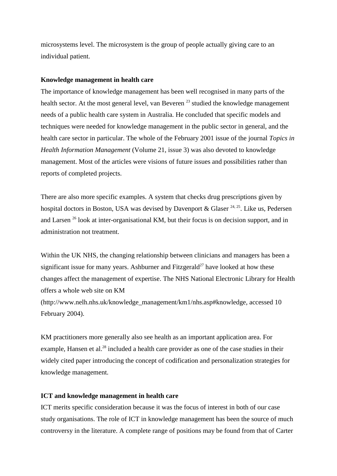microsystems level. The microsystem is the group of people actually giving care to an individual patient.

## **Knowledge management in health care**

The importance of knowledge management has been well recognised in many parts of the health sector. At the most general level, van Beveren  $^{23}$  studied the knowledge management needs of a public health care system in Australia. He concluded that specific models and techniques were needed for knowledge management in the public sector in general, and the health care sector in particular. The whole of the February 2001 issue of the journal *Topics in Health Information Management* (Volume 21, issue 3) was also devoted to knowledge management. Most of the articles were visions of future issues and possibilities rather than reports of completed projects.

There are also more specific examples. A system that checks drug prescriptions given by hospital doctors in Boston, USA was devised by Davenport & Glaser  $^{24, 25}$ . Like us, Pedersen and Larsen <sup>26</sup> look at inter-organisational KM, but their focus is on decision support, and in administration not treatment.

Within the UK NHS, the changing relationship between clinicians and managers has been a significant issue for many years. Ashburner and Fitzgerald<sup>27</sup> have looked at how these changes affect the management of expertise. The NHS National Electronic Library for Health offers a whole web site on KM [\(http://www.nelh.nhs.uk/knowledge\\_management/km1/nhs.asp#knowledge,](http://www.nelh.nhs.uk/knowledge_management/km1/nhs.asp#knowledge) accessed 10 February 2004).

KM practitioners more generally also see health as an important application area. For example, Hansen et al.<sup>28</sup> included a health care provider as one of the case studies in their widely cited paper introducing the concept of codification and personalization strategies for knowledge management.

## **ICT and knowledge management in health care**

ICT merits specific consideration because it was the focus of interest in both of our case study organisations. The role of ICT in knowledge management has been the source of much controversy in the literature. A complete range of positions may be found from that of Carter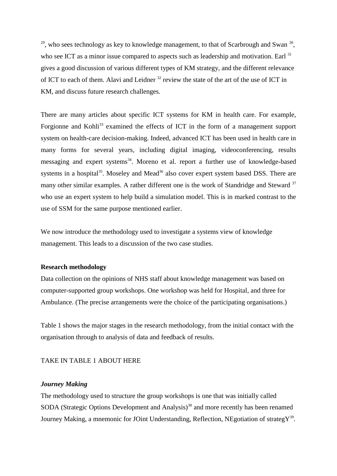$29$ , who sees technology as key to knowledge management, to that of Scarbrough and Swan  $30$ , who see ICT as a minor issue compared to aspects such as leadership and motivation. Earl <sup>31</sup> gives a good discussion of various different types of KM strategy, and the different relevance of ICT to each of them. Alavi and Leidner<sup>32</sup> review the state of the art of the use of ICT in KM, and discuss future research challenges.

There are many articles about specific ICT systems for KM in health care. For example, Forgionne and Kohli<sup>33</sup> examined the effects of ICT in the form of a management support system on health-care decision-making. Indeed, advanced ICT has been used in health care in many forms for several years, including digital imaging, videoconferencing, results messaging and expert systems<sup>34</sup>. Moreno et al. report a further use of knowledge-based systems in a hospital<sup>35</sup>. Moseley and Mead<sup>36</sup> also cover expert system based DSS. There are many other similar examples. A rather different one is the work of Standridge and Steward<sup>37</sup> who use an expert system to help build a simulation model. This is in marked contrast to the use of SSM for the same purpose mentioned earlier.

We now introduce the methodology used to investigate a systems view of knowledge management. This leads to a discussion of the two case studies.

#### **Research methodology**

Data collection on the opinions of NHS staff about knowledge management was based on computer-supported group workshops. One workshop was held for Hospital, and three for Ambulance. (The precise arrangements were the choice of the participating organisations.)

Table 1 shows the major stages in the research methodology, from the initial contact with the organisation through to analysis of data and feedback of results.

#### TAKE IN TABLE 1 ABOUT HERE

#### *Journey Making*

The methodology used to structure the group workshops is one that was initially called SODA (Strategic Options Development and Analysis)<sup>38</sup> and more recently has been renamed Journey Making, a mnemonic for JOint Understanding, Reflection, NEgotiation of strateg $Y^{39}$ .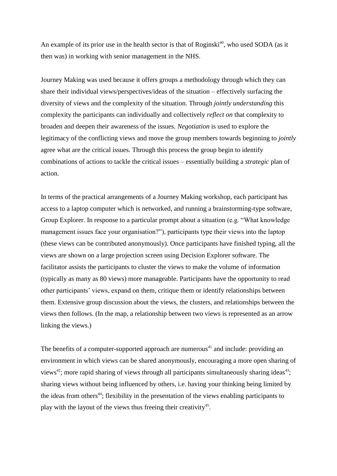An example of its prior use in the health sector is that of Roginski<sup>40</sup>, who used SODA (as it then was) in working with senior management in the NHS.

Journey Making was used because it offers groups a methodology through which they can share their individual views/perspectives/ideas of the situation – effectively surfacing the diversity of views and the complexity of the situation. Through *jointly understanding* this complexity the participants can individually and collectively *reflect on* that complexity to broaden and deepen their awareness of the issues. *Negotiation* is used to explore the legitimacy of the conflicting views and move the group members towards beginning to *jointly*  agree what are the critical issues. Through this process the group begin to identify combinations of actions to tackle the critical issues – essentially building a *strategic* plan of action.

In terms of the practical arrangements of a Journey Making workshop, each participant has access to a laptop computer which is networked, and running a brainstorming-type software, Group Explorer. In response to a particular prompt about a situation (e.g. "What knowledge management issues face your organisation?"), participants type their views into the laptop (these views can be contributed anonymously). Once participants have finished typing, all the views are shown on a large projection screen using Decision Explorer software. The facilitator assists the participants to cluster the views to make the volume of information (typically as many as 80 views) more manageable. Participants have the opportunity to read other participants' views, expand on them, critique them or identify relationships between them. Extensive group discussion about the views, the clusters, and relationships between the views then follows. (In the map, a relationship between two views is represented as an arrow linking the views.)

The benefits of a computer-supported approach are numerous<sup> $41$ </sup> and include: providing an environment in which views can be shared anonymously, encouraging a more open sharing of views<sup>42</sup>; more rapid sharing of views through all participants simultaneously sharing ideas<sup>43</sup>; sharing views without being influenced by others, i.e. having your thinking being limited by the ideas from others<sup>44</sup>; flexibility in the presentation of the views enabling participants to play with the layout of the views thus freeing their creativity<sup>45</sup>.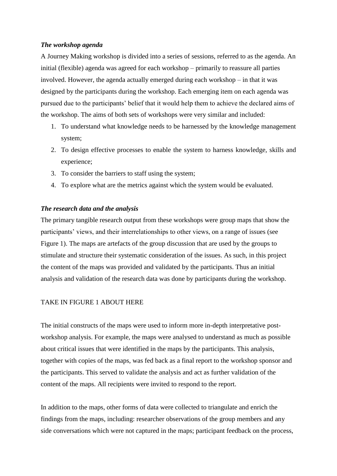## *The workshop agenda*

A Journey Making workshop is divided into a series of sessions, referred to as the agenda. An initial (flexible) agenda was agreed for each workshop – primarily to reassure all parties involved. However, the agenda actually emerged during each workshop – in that it was designed by the participants during the workshop. Each emerging item on each agenda was pursued due to the participants" belief that it would help them to achieve the declared aims of the workshop. The aims of both sets of workshops were very similar and included:

- 1. To understand what knowledge needs to be harnessed by the knowledge management system;
- 2. To design effective processes to enable the system to harness knowledge, skills and experience;
- 3. To consider the barriers to staff using the system;
- 4. To explore what are the metrics against which the system would be evaluated.

# *The research data and the analysis*

The primary tangible research output from these workshops were group maps that show the participants' views, and their interrelationships to other views, on a range of issues (see Figure 1). The maps are artefacts of the group discussion that are used by the groups to stimulate and structure their systematic consideration of the issues. As such, in this project the content of the maps was provided and validated by the participants. Thus an initial analysis and validation of the research data was done by participants during the workshop.

# TAKE IN FIGURE 1 ABOUT HERE

The initial constructs of the maps were used to inform more in-depth interpretative postworkshop analysis. For example, the maps were analysed to understand as much as possible about critical issues that were identified in the maps by the participants. This analysis, together with copies of the maps, was fed back as a final report to the workshop sponsor and the participants. This served to validate the analysis and act as further validation of the content of the maps. All recipients were invited to respond to the report.

In addition to the maps, other forms of data were collected to triangulate and enrich the findings from the maps, including: researcher observations of the group members and any side conversations which were not captured in the maps; participant feedback on the process,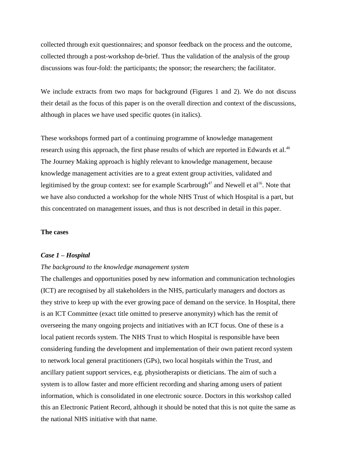collected through exit questionnaires; and sponsor feedback on the process and the outcome, collected through a post-workshop de-brief. Thus the validation of the analysis of the group discussions was four-fold: the participants; the sponsor; the researchers; the facilitator.

We include extracts from two maps for background (Figures 1 and 2). We do not discuss their detail as the focus of this paper is on the overall direction and context of the discussions, although in places we have used specific quotes (in italics).

These workshops formed part of a continuing programme of knowledge management research using this approach, the first phase results of which are reported in Edwards et al.<sup>46</sup> The Journey Making approach is highly relevant to knowledge management, because knowledge management activities are to a great extent group activities, validated and legitimised by the group context: see for example  $Scarbrought^2$  and Newell et al<sup>16</sup>. Note that we have also conducted a workshop for the whole NHS Trust of which Hospital is a part, but this concentrated on management issues, and thus is not described in detail in this paper.

## **The cases**

#### *Case 1 – Hospital*

#### *The background to the knowledge management system*

The challenges and opportunities posed by new information and communication technologies (ICT) are recognised by all stakeholders in the NHS, particularly managers and doctors as they strive to keep up with the ever growing pace of demand on the service. In Hospital, there is an ICT Committee (exact title omitted to preserve anonymity) which has the remit of overseeing the many ongoing projects and initiatives with an ICT focus. One of these is a local patient records system. The NHS Trust to which Hospital is responsible have been considering funding the development and implementation of their own patient record system to network local general practitioners (GPs), two local hospitals within the Trust, and ancillary patient support services, e.g. physiotherapists or dieticians. The aim of such a system is to allow faster and more efficient recording and sharing among users of patient information, which is consolidated in one electronic source. Doctors in this workshop called this an Electronic Patient Record, although it should be noted that this is not quite the same as the national NHS initiative with that name.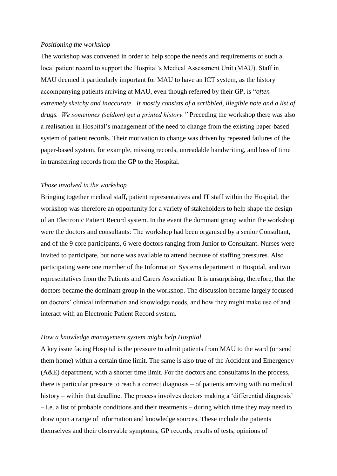#### *Positioning the workshop*

The workshop was convened in order to help scope the needs and requirements of such a local patient record to support the Hospital's Medical Assessment Unit (MAU). Staff in MAU deemed it particularly important for MAU to have an ICT system, as the history accompanying patients arriving at MAU, even though referred by their GP, is "*often extremely sketchy and inaccurate. It mostly consists of a scribbled, illegible note and a list of drugs. We sometimes (seldom) get a printed history."* Preceding the workshop there was also a realisation in Hospital's management of the need to change from the existing paper-based system of patient records. Their motivation to change was driven by repeated failures of the paper-based system, for example, missing records, unreadable handwriting, and loss of time in transferring records from the GP to the Hospital.

#### *Those involved in the workshop*

Bringing together medical staff, patient representatives and IT staff within the Hospital, the workshop was therefore an opportunity for a variety of stakeholders to help shape the design of an Electronic Patient Record system. In the event the dominant group within the workshop were the doctors and consultants: The workshop had been organised by a senior Consultant, and of the 9 core participants, 6 were doctors ranging from Junior to Consultant. Nurses were invited to participate, but none was available to attend because of staffing pressures. Also participating were one member of the Information Systems department in Hospital, and two representatives from the Patients and Carers Association. It is unsurprising, therefore, that the doctors became the dominant group in the workshop. The discussion became largely focused on doctors" clinical information and knowledge needs, and how they might make use of and interact with an Electronic Patient Record system.

#### *How a knowledge management system might help Hospital*

A key issue facing Hospital is the pressure to admit patients from MAU to the ward (or send them home) within a certain time limit. The same is also true of the Accident and Emergency (A&E) department, with a shorter time limit. For the doctors and consultants in the process, there is particular pressure to reach a correct diagnosis – of patients arriving with no medical history – within that deadline. The process involves doctors making a 'differential diagnosis' – i.e. a list of probable conditions and their treatments – during which time they may need to draw upon a range of information and knowledge sources. These include the patients themselves and their observable symptoms, GP records, results of tests, opinions of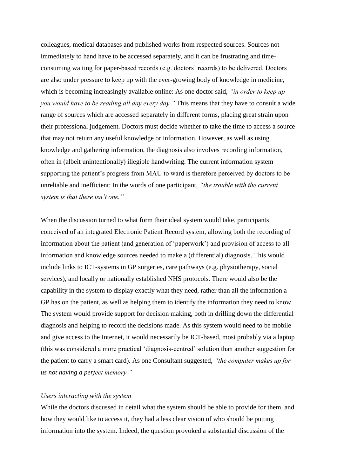colleagues, medical databases and published works from respected sources. Sources not immediately to hand have to be accessed separately, and it can be frustrating and timeconsuming waiting for paper-based records (e.g. doctors" records) to be delivered. Doctors are also under pressure to keep up with the ever-growing body of knowledge in medicine, which is becoming increasingly available online: As one doctor said, *"in order to keep up you would have to be reading all day every day."* This means that they have to consult a wide range of sources which are accessed separately in different forms, placing great strain upon their professional judgement. Doctors must decide whether to take the time to access a source that may not return any useful knowledge or information. However, as well as using knowledge and gathering information, the diagnosis also involves recording information, often in (albeit unintentionally) illegible handwriting. The current information system supporting the patient's progress from MAU to ward is therefore perceived by doctors to be unreliable and inefficient: In the words of one participant, *"the trouble with the current system is that there isn't one."*

When the discussion turned to what form their ideal system would take, participants conceived of an integrated Electronic Patient Record system, allowing both the recording of information about the patient (and generation of "paperwork") and provision of access to all information and knowledge sources needed to make a (differential) diagnosis. This would include links to ICT-systems in GP surgeries, care pathways (e.g. physiotherapy, social services), and locally or nationally established NHS protocols. There would also be the capability in the system to display exactly what they need, rather than all the information a GP has on the patient, as well as helping them to identify the information they need to know. The system would provide support for decision making, both in drilling down the differential diagnosis and helping to record the decisions made. As this system would need to be mobile and give access to the Internet, it would necessarily be ICT-based, most probably via a laptop (this was considered a more practical "diagnosis-centred" solution than another suggestion for the patient to carry a smart card). As one Consultant suggested, *"the computer makes up for us not having a perfect memory."*

#### *Users interacting with the system*

While the doctors discussed in detail what the system should be able to provide for them, and how they would like to access it, they had a less clear vision of who should be putting information into the system. Indeed, the question provoked a substantial discussion of the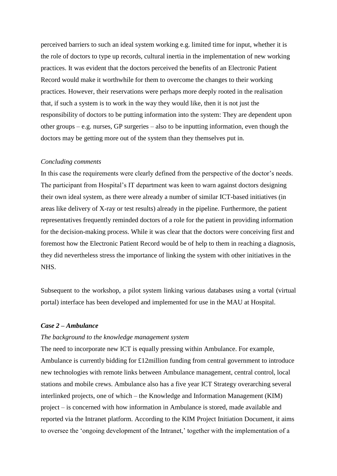perceived barriers to such an ideal system working e.g. limited time for input, whether it is the role of doctors to type up records, cultural inertia in the implementation of new working practices. It was evident that the doctors perceived the benefits of an Electronic Patient Record would make it worthwhile for them to overcome the changes to their working practices. However, their reservations were perhaps more deeply rooted in the realisation that, if such a system is to work in the way they would like, then it is not just the responsibility of doctors to be putting information into the system: They are dependent upon other groups – e.g. nurses, GP surgeries – also to be inputting information, even though the doctors may be getting more out of the system than they themselves put in.

#### *Concluding comments*

In this case the requirements were clearly defined from the perspective of the doctor's needs. The participant from Hospital's IT department was keen to warn against doctors designing their own ideal system, as there were already a number of similar ICT-based initiatives (in areas like delivery of X-ray or test results) already in the pipeline. Furthermore, the patient representatives frequently reminded doctors of a role for the patient in providing information for the decision-making process. While it was clear that the doctors were conceiving first and foremost how the Electronic Patient Record would be of help to them in reaching a diagnosis, they did nevertheless stress the importance of linking the system with other initiatives in the NHS.

Subsequent to the workshop, a pilot system linking various databases using a vortal (virtual portal) interface has been developed and implemented for use in the MAU at Hospital.

## *Case 2 – Ambulance*

## *The background to the knowledge management system*

The need to incorporate new ICT is equally pressing within Ambulance. For example, Ambulance is currently bidding for £12million funding from central government to introduce new technologies with remote links between Ambulance management, central control, local stations and mobile crews. Ambulance also has a five year ICT Strategy overarching several interlinked projects, one of which – the Knowledge and Information Management (KIM) project – is concerned with how information in Ambulance is stored, made available and reported via the Intranet platform. According to the KIM Project Initiation Document, it aims to oversee the 'ongoing development of the Intranet,' together with the implementation of a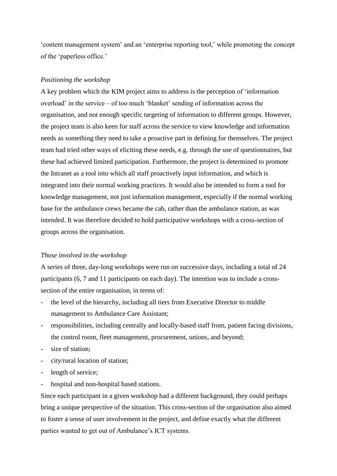"content management system" and an "enterprise reporting tool," while promoting the concept of the "paperless office."

#### *Positioning the workshop*

A key problem which the KIM project aims to address is the perception of "information overload" in the service – of too much "blanket" sending of information across the organisation, and not enough specific targeting of information to different groups. However, the project team is also keen for staff across the service to view knowledge and information needs as something they need to take a proactive part in defining for themselves. The project team had tried other ways of eliciting these needs, e.g. through the use of questionnaires, but these had achieved limited participation. Furthermore, the project is determined to promote the Intranet as a tool into which all staff proactively input information, and which is integrated into their normal working practices. It would also be intended to form a tool for knowledge management, not just information management, especially if the normal working base for the ambulance crews became the cab, rather than the ambulance station, as was intended. It was therefore decided to hold participative workshops with a cross-section of groups across the organisation.

#### *Those involved in the workshop*

A series of three, day-long workshops were run on successive days, including a total of 24 participants (6, 7 and 11 participants on each day). The intention was to include a crosssection of the entire organisation, in terms of:

- the level of the hierarchy, including all tiers from Executive Director to middle management to Ambulance Care Assistant;
- responsibilities, including centrally and locally-based staff from, patient facing divisions, the control room, fleet management, procurement, unions, and beyond;
- size of station;
- city/rural location of station;
- length of service;
- hospital and non-hospital based stations.

Since each participant in a given workshop had a different background, they could perhaps bring a unique perspective of the situation. This cross-section of the organisation also aimed to foster a sense of user involvement in the project, and define exactly what the different parties wanted to get out of Ambulance's ICT systems.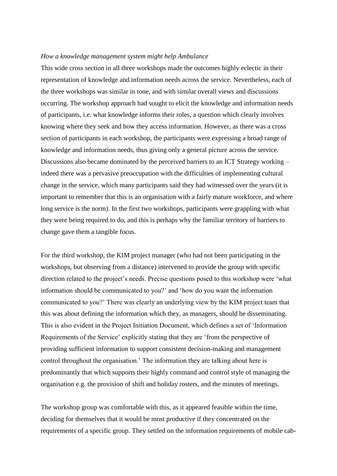#### *How a knowledge management system might help Ambulance*

This wide cross section in all three workshops made the outcomes highly eclectic in their representation of knowledge and information needs across the service. Nevertheless, each of the three workshops was similar in tone, and with similar overall views and discussions occurring. The workshop approach had sought to elicit the knowledge and information needs of participants, i.e. what knowledge informs their roles, a question which clearly involves knowing where they seek and how they access information. However, as there was a cross section of participants in each workshop, the participants were expressing a broad range of knowledge and information needs, thus giving only a general picture across the service. Discussions also became dominated by the perceived barriers to an ICT Strategy working – indeed there was a pervasive preoccupation with the difficulties of implementing cultural change in the service, which many participants said they had witnessed over the years (it is important to remember that this is an organisation with a fairly mature workforce, and where long service is the norm). In the first two workshops, participants were grappling with what they were being required to do, and this is perhaps why the familiar territory of barriers to change gave them a tangible focus.

For the third workshop, the KIM project manager (who had not been participating in the workshops, but observing from a distance) intervened to provide the group with specific direction related to the project's needs. Precise questions posed to this workshop were 'what information should be communicated to you?" and "how do you want the information communicated to you?" There was clearly an underlying view by the KIM project team that this was about defining the information which they, as managers, should be disseminating. This is also evident in the Project Initiation Document, which defines a set of "Information Requirements of the Service" explicitly stating that they are "from the perspective of providing sufficient information to support consistent decision-making and management control throughout the organisation." The information they are talking about here is predominantly that which supports their highly command and control style of managing the organisation e.g. the provision of shift and holiday rosters, and the minutes of meetings.

The workshop group was comfortable with this, as it appeared feasible within the time, deciding for themselves that it would be most productive if they concentrated on the requirements of a specific group. They settled on the information requirements of mobile cab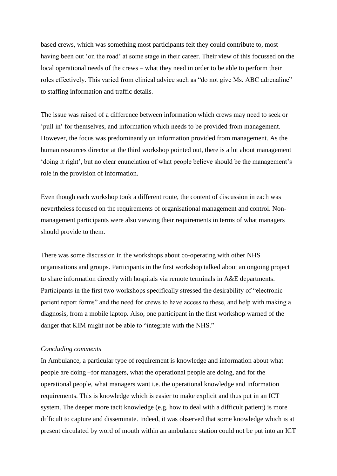based crews, which was something most participants felt they could contribute to, most having been out 'on the road' at some stage in their career. Their view of this focussed on the local operational needs of the crews – what they need in order to be able to perform their roles effectively. This varied from clinical advice such as "do not give Ms. ABC adrenaline" to staffing information and traffic details.

The issue was raised of a difference between information which crews may need to seek or "pull in" for themselves, and information which needs to be provided from management. However, the focus was predominantly on information provided from management. As the human resources director at the third workshop pointed out, there is a lot about management "doing it right", but no clear enunciation of what people believe should be the management"s role in the provision of information.

Even though each workshop took a different route, the content of discussion in each was nevertheless focused on the requirements of organisational management and control. Nonmanagement participants were also viewing their requirements in terms of what managers should provide to them.

There was some discussion in the workshops about co-operating with other NHS organisations and groups. Participants in the first workshop talked about an ongoing project to share information directly with hospitals via remote terminals in A&E departments. Participants in the first two workshops specifically stressed the desirability of "electronic patient report forms" and the need for crews to have access to these, and help with making a diagnosis, from a mobile laptop. Also, one participant in the first workshop warned of the danger that KIM might not be able to "integrate with the NHS."

#### *Concluding comments*

In Ambulance, a particular type of requirement is knowledge and information about what people are doing –for managers, what the operational people are doing, and for the operational people, what managers want i.e. the operational knowledge and information requirements. This is knowledge which is easier to make explicit and thus put in an ICT system. The deeper more tacit knowledge (e.g. how to deal with a difficult patient) is more difficult to capture and disseminate. Indeed, it was observed that some knowledge which is at present circulated by word of mouth within an ambulance station could not be put into an ICT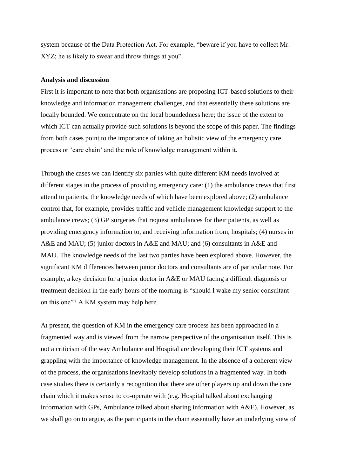system because of the Data Protection Act. For example, "beware if you have to collect Mr. XYZ; he is likely to swear and throw things at you".

#### **Analysis and discussion**

First it is important to note that both organisations are proposing ICT-based solutions to their knowledge and information management challenges, and that essentially these solutions are locally bounded. We concentrate on the local boundedness here; the issue of the extent to which ICT can actually provide such solutions is beyond the scope of this paper. The findings from both cases point to the importance of taking an holistic view of the emergency care process or "care chain" and the role of knowledge management within it.

Through the cases we can identify six parties with quite different KM needs involved at different stages in the process of providing emergency care: (1) the ambulance crews that first attend to patients, the knowledge needs of which have been explored above; (2) ambulance control that, for example, provides traffic and vehicle management knowledge support to the ambulance crews; (3) GP surgeries that request ambulances for their patients, as well as providing emergency information to, and receiving information from, hospitals; (4) nurses in A&E and MAU; (5) junior doctors in A&E and MAU; and (6) consultants in A&E and MAU. The knowledge needs of the last two parties have been explored above. However, the significant KM differences between junior doctors and consultants are of particular note. For example, a key decision for a junior doctor in A&E or MAU facing a difficult diagnosis or treatment decision in the early hours of the morning is "should I wake my senior consultant on this one"? A KM system may help here.

At present, the question of KM in the emergency care process has been approached in a fragmented way and is viewed from the narrow perspective of the organisation itself. This is not a criticism of the way Ambulance and Hospital are developing their ICT systems and grappling with the importance of knowledge management. In the absence of a coherent view of the process, the organisations inevitably develop solutions in a fragmented way. In both case studies there is certainly a recognition that there are other players up and down the care chain which it makes sense to co-operate with (e.g. Hospital talked about exchanging information with GPs, Ambulance talked about sharing information with A&E). However, as we shall go on to argue, as the participants in the chain essentially have an underlying view of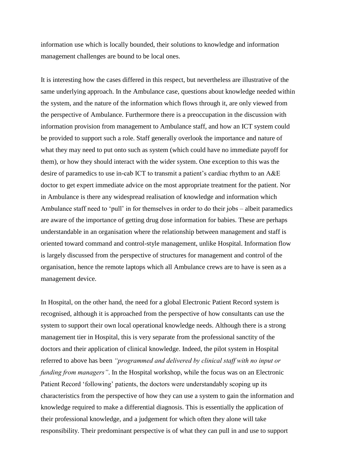information use which is locally bounded, their solutions to knowledge and information management challenges are bound to be local ones.

It is interesting how the cases differed in this respect, but nevertheless are illustrative of the same underlying approach. In the Ambulance case, questions about knowledge needed within the system, and the nature of the information which flows through it, are only viewed from the perspective of Ambulance. Furthermore there is a preoccupation in the discussion with information provision from management to Ambulance staff, and how an ICT system could be provided to support such a role. Staff generally overlook the importance and nature of what they may need to put onto such as system (which could have no immediate payoff for them), or how they should interact with the wider system. One exception to this was the desire of paramedics to use in-cab ICT to transmit a patient's cardiac rhythm to an A&E doctor to get expert immediate advice on the most appropriate treatment for the patient. Nor in Ambulance is there any widespread realisation of knowledge and information which Ambulance staff need to 'pull' in for themselves in order to do their jobs – albeit paramedics are aware of the importance of getting drug dose information for babies. These are perhaps understandable in an organisation where the relationship between management and staff is oriented toward command and control-style management, unlike Hospital. Information flow is largely discussed from the perspective of structures for management and control of the organisation, hence the remote laptops which all Ambulance crews are to have is seen as a management device.

In Hospital, on the other hand, the need for a global Electronic Patient Record system is recognised, although it is approached from the perspective of how consultants can use the system to support their own local operational knowledge needs. Although there is a strong management tier in Hospital, this is very separate from the professional sanctity of the doctors and their application of clinical knowledge. Indeed, the pilot system in Hospital referred to above has been *"programmed and delivered by clinical staff with no input or funding from managers"*. In the Hospital workshop, while the focus was on an Electronic Patient Record 'following' patients, the doctors were understandably scoping up its characteristics from the perspective of how they can use a system to gain the information and knowledge required to make a differential diagnosis. This is essentially the application of their professional knowledge, and a judgement for which often they alone will take responsibility. Their predominant perspective is of what they can pull in and use to support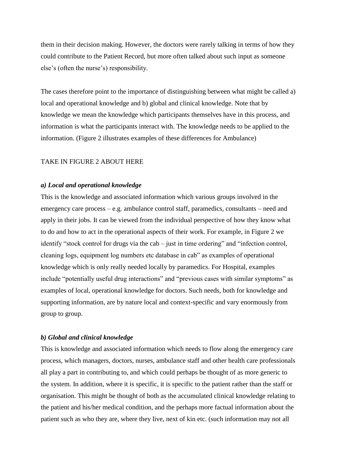them in their decision making. However, the doctors were rarely talking in terms of how they could contribute to the Patient Record, but more often talked about such input as someone else"s (often the nurse"s) responsibility.

The cases therefore point to the importance of distinguishing between what might be called a) local and operational knowledge and b) global and clinical knowledge. Note that by knowledge we mean the knowledge which participants themselves have in this process, and information is what the participants interact with. The knowledge needs to be applied to the information. (Figure 2 illustrates examples of these differences for Ambulance)

#### TAKE IN FIGURE 2 ABOUT HERE

#### *a) Local and operational knowledge*

This is the knowledge and associated information which various groups involved in the emergency care process – e.g. ambulance control staff, paramedics, consultants – need and apply in their jobs. It can be viewed from the individual perspective of how they know what to do and how to act in the operational aspects of their work. For example, in Figure 2 we identify "stock control for drugs via the cab – just in time ordering" and "infection control, cleaning logs, equipment log numbers etc database in cab" as examples of operational knowledge which is only really needed locally by paramedics. For Hospital, examples include "potentially useful drug interactions" and "previous cases with similar symptoms" as examples of local, operational knowledge for doctors. Such needs, both for knowledge and supporting information, are by nature local and context-specific and vary enormously from group to group.

## *b) Global and clinical knowledge*

This is knowledge and associated information which needs to flow along the emergency care process, which managers, doctors, nurses, ambulance staff and other health care professionals all play a part in contributing to, and which could perhaps be thought of as more generic to the system. In addition, where it is specific, it is specific to the patient rather than the staff or organisation. This might be thought of both as the accumulated clinical knowledge relating to the patient and his/her medical condition, and the perhaps more factual information about the patient such as who they are, where they live, next of kin etc. (such information may not all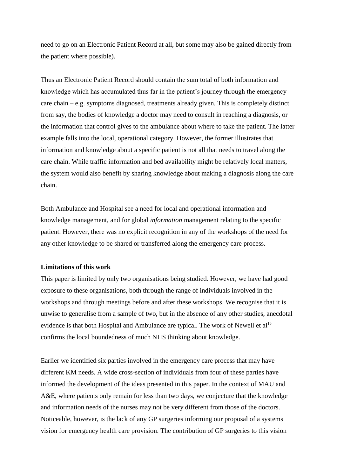need to go on an Electronic Patient Record at all, but some may also be gained directly from the patient where possible).

Thus an Electronic Patient Record should contain the sum total of both information and knowledge which has accumulated thus far in the patient's journey through the emergency care chain – e.g. symptoms diagnosed, treatments already given. This is completely distinct from say, the bodies of knowledge a doctor may need to consult in reaching a diagnosis, or the information that control gives to the ambulance about where to take the patient. The latter example falls into the local, operational category. However, the former illustrates that information and knowledge about a specific patient is not all that needs to travel along the care chain. While traffic information and bed availability might be relatively local matters, the system would also benefit by sharing knowledge about making a diagnosis along the care chain.

Both Ambulance and Hospital see a need for local and operational information and knowledge management, and for global *information* management relating to the specific patient. However, there was no explicit recognition in any of the workshops of the need for any other knowledge to be shared or transferred along the emergency care process.

#### **Limitations of this work**

This paper is limited by only two organisations being studied. However, we have had good exposure to these organisations, both through the range of individuals involved in the workshops and through meetings before and after these workshops. We recognise that it is unwise to generalise from a sample of two, but in the absence of any other studies, anecdotal evidence is that both Hospital and Ambulance are typical. The work of Newell et  $al<sup>16</sup>$ confirms the local boundedness of much NHS thinking about knowledge.

Earlier we identified six parties involved in the emergency care process that may have different KM needs. A wide cross-section of individuals from four of these parties have informed the development of the ideas presented in this paper. In the context of MAU and A&E, where patients only remain for less than two days, we conjecture that the knowledge and information needs of the nurses may not be very different from those of the doctors. Noticeable, however, is the lack of any GP surgeries informing our proposal of a systems vision for emergency health care provision. The contribution of GP surgeries to this vision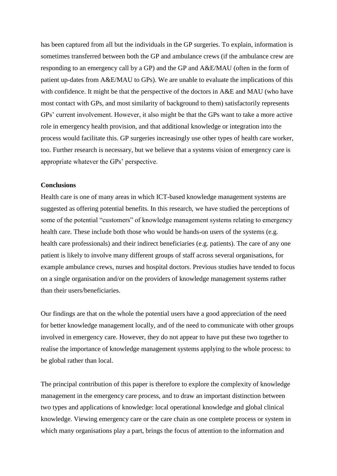has been captured from all but the individuals in the GP surgeries. To explain, information is sometimes transferred between both the GP and ambulance crews (if the ambulance crew are responding to an emergency call by a GP) and the GP and A&E/MAU (often in the form of patient up-dates from A&E/MAU to GPs). We are unable to evaluate the implications of this with confidence. It might be that the perspective of the doctors in A&E and MAU (who have most contact with GPs, and most similarity of background to them) satisfactorily represents GPs" current involvement. However, it also might be that the GPs want to take a more active role in emergency health provision, and that additional knowledge or integration into the process would facilitate this. GP surgeries increasingly use other types of health care worker, too. Further research is necessary, but we believe that a systems vision of emergency care is appropriate whatever the GPs' perspective.

## **Conclusions**

Health care is one of many areas in which ICT-based knowledge management systems are suggested as offering potential benefits. In this research, we have studied the perceptions of some of the potential "customers" of knowledge management systems relating to emergency health care. These include both those who would be hands-on users of the systems (e.g. health care professionals) and their indirect beneficiaries (e.g. patients). The care of any one patient is likely to involve many different groups of staff across several organisations, for example ambulance crews, nurses and hospital doctors. Previous studies have tended to focus on a single organisation and/or on the providers of knowledge management systems rather than their users/beneficiaries.

Our findings are that on the whole the potential users have a good appreciation of the need for better knowledge management locally, and of the need to communicate with other groups involved in emergency care. However, they do not appear to have put these two together to realise the importance of knowledge management systems applying to the whole process: to be global rather than local.

The principal contribution of this paper is therefore to explore the complexity of knowledge management in the emergency care process, and to draw an important distinction between two types and applications of knowledge: local operational knowledge and global clinical knowledge. Viewing emergency care or the care chain as one complete process or system in which many organisations play a part, brings the focus of attention to the information and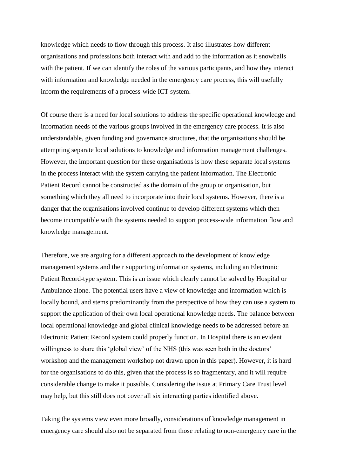knowledge which needs to flow through this process. It also illustrates how different organisations and professions both interact with and add to the information as it snowballs with the patient. If we can identify the roles of the various participants, and how they interact with information and knowledge needed in the emergency care process, this will usefully inform the requirements of a process-wide ICT system.

Of course there is a need for local solutions to address the specific operational knowledge and information needs of the various groups involved in the emergency care process. It is also understandable, given funding and governance structures, that the organisations should be attempting separate local solutions to knowledge and information management challenges. However, the important question for these organisations is how these separate local systems in the process interact with the system carrying the patient information. The Electronic Patient Record cannot be constructed as the domain of the group or organisation, but something which they all need to incorporate into their local systems. However, there is a danger that the organisations involved continue to develop different systems which then become incompatible with the systems needed to support process-wide information flow and knowledge management.

Therefore, we are arguing for a different approach to the development of knowledge management systems and their supporting information systems, including an Electronic Patient Record-type system. This is an issue which clearly cannot be solved by Hospital or Ambulance alone. The potential users have a view of knowledge and information which is locally bound, and stems predominantly from the perspective of how they can use a system to support the application of their own local operational knowledge needs. The balance between local operational knowledge and global clinical knowledge needs to be addressed before an Electronic Patient Record system could properly function. In Hospital there is an evident willingness to share this 'global view' of the NHS (this was seen both in the doctors' workshop and the management workshop not drawn upon in this paper). However, it is hard for the organisations to do this, given that the process is so fragmentary, and it will require considerable change to make it possible. Considering the issue at Primary Care Trust level may help, but this still does not cover all six interacting parties identified above.

Taking the systems view even more broadly, considerations of knowledge management in emergency care should also not be separated from those relating to non-emergency care in the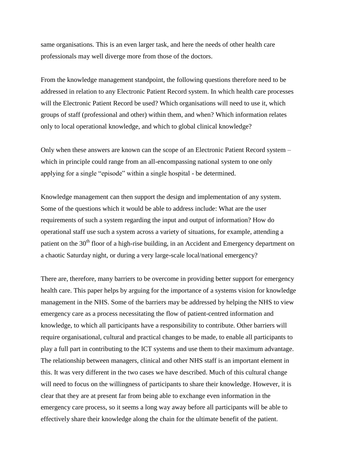same organisations. This is an even larger task, and here the needs of other health care professionals may well diverge more from those of the doctors.

From the knowledge management standpoint, the following questions therefore need to be addressed in relation to any Electronic Patient Record system. In which health care processes will the Electronic Patient Record be used? Which organisations will need to use it, which groups of staff (professional and other) within them, and when? Which information relates only to local operational knowledge, and which to global clinical knowledge?

Only when these answers are known can the scope of an Electronic Patient Record system – which in principle could range from an all-encompassing national system to one only applying for a single "episode" within a single hospital - be determined.

Knowledge management can then support the design and implementation of any system. Some of the questions which it would be able to address include: What are the user requirements of such a system regarding the input and output of information? How do operational staff use such a system across a variety of situations, for example, attending a patient on the  $30<sup>th</sup>$  floor of a high-rise building, in an Accident and Emergency department on a chaotic Saturday night, or during a very large-scale local/national emergency?

There are, therefore, many barriers to be overcome in providing better support for emergency health care. This paper helps by arguing for the importance of a systems vision for knowledge management in the NHS. Some of the barriers may be addressed by helping the NHS to view emergency care as a process necessitating the flow of patient-centred information and knowledge, to which all participants have a responsibility to contribute. Other barriers will require organisational, cultural and practical changes to be made, to enable all participants to play a full part in contributing to the ICT systems and use them to their maximum advantage. The relationship between managers, clinical and other NHS staff is an important element in this. It was very different in the two cases we have described. Much of this cultural change will need to focus on the willingness of participants to share their knowledge. However, it is clear that they are at present far from being able to exchange even information in the emergency care process, so it seems a long way away before all participants will be able to effectively share their knowledge along the chain for the ultimate benefit of the patient.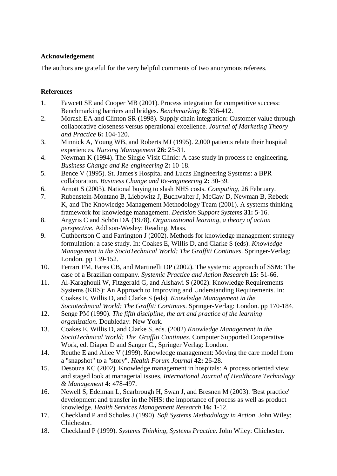# **Acknowledgement**

The authors are grateful for the very helpful comments of two anonymous referees.

# **References**

- 1. Fawcett SE and Cooper MB (2001). Process integration for competitive success: Benchmarking barriers and bridges*. Benchmarking* **8:** 396-412.
- 2. Morash EA and Clinton SR (1998). Supply chain integration: Customer value through collaborative closeness versus operational excellence*. Journal of Marketing Theory and Practice* **6:** 104-120.
- 3. Minnick A, Young WB, and Roberts MJ (1995). 2,000 patients relate their hospital experiences*. Nursing Management* **26:** 25-31.
- 4. Newman K (1994). The Single Visit Clinic: A case study in process re-engineering*. Business Change and Re-engineering* **2:** 10-18.
- 5. Bence V (1995). St. James's Hospital and Lucas Engineering Systems: a BPR collaboration*. Business Change and Re-engineering* **2:** 30-39.
- 6. Arnott S (2003). National buying to slash NHS costs*. Computing*, 26 February.
- 7. Rubenstein-Montano B, Liebowitz J, Buchwalter J, McCaw D, Newman B, Rebeck K, and The Knowledge Management Methodology Team (2001). A systems thinking framework for knowledge management*. Decision Support Systems* **31:** 5-16.
- 8. Argyris C and Schön DA (1978). *Organizational learning, a theory of action perspective*. Addison-Wesley: Reading, Mass.
- 9. Cuthbertson C and Farrington J (2002). Methods for knowledge management strategy formulation: a case study. In: Coakes E, Willis D, and Clarke S (eds). *Knowledge Management in the SocioTechnical World: The Graffiti Continues*. Springer-Verlag: London. pp 139-152.
- 10. Ferrari FM, Fares CB, and Martinelli DP (2002). The systemic approach of SSM: The case of a Brazilian company*. Systemic Practice and Action Research* **15:** 51-66.
- 11. Al-Karaghouli W, Fitzgerald G, and Alshawi S (2002). Knowledge Requirements Systems (KRS): An Approach to Improving and Understanding Requirements. In: Coakes E, Willis D, and Clarke S (eds). *Knowledge Management in the Sociotechnical World: The Graffiti Continues*. Springer-Verlag: London. pp 170-184.
- 12. Senge PM (1990). *The fifth discipline, the art and practice of the learning organization*. Doubleday: New York.
- 13. Coakes E, Willis D, and Clarke S, eds. (2002) *Knowledge Management in the SocioTechnical World: The Graffiti Continues*. Computer Supported Cooperative Work, ed. Diaper D and Sanger C., Springer Verlag: London.
- 14. Reuthe E and Allee V (1999). Knowledge management: Moving the care model from a "snapshot" to a "story"*. Health Forum Journal* **42:** 26-28.
- 15. Desouza KC (2002). Knowledge management in hospitals: A process oriented view and staged look at managerial issues*. International Journal of Healthcare Technology & Management* **4:** 478-497.
- 16. Newell S, Edelman L, Scarbrough H, Swan J, and Bresnen M (2003). 'Best practice' development and transfer in the NHS: the importance of process as well as product knowledge*. Health Services Management Research* **16:** 1-12.
- 17. Checkland P and Scholes J (1990). *Soft Systems Methodology in Action*. John Wiley: Chichester.
- 18. Checkland P (1999). *Systems Thinking, Systems Practice*. John Wiley: Chichester.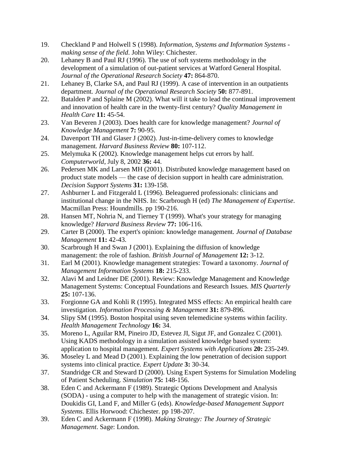- 19. Checkland P and Holwell S (1998). *Information, Systems and Information Systems making sense of the field*. John Wiley: Chichester.
- 20. Lehaney B and Paul RJ (1996). The use of soft systems methodology in the development of a simulation of out-patient services at Watford General Hospital*. Journal of the Operational Research Society* **47:** 864-870.
- 21. Lehaney B, Clarke SA, and Paul RJ (1999). A case of intervention in an outpatients department*. Journal of the Operational Research Society* **50:** 877-891.
- 22. Batalden P and Splaine M (2002). What will it take to lead the continual improvement and innovation of health care in the twenty-first century? *Quality Management in Health Care* **11:** 45-54.
- 23. Van Beveren J (2003). Does health care for knowledge management? *Journal of Knowledge Management* **7:** 90-95.
- 24. Davenport TH and Glaser J (2002). Just-in-time-delivery comes to knowledge management*. Harvard Business Review* **80:** 107-112.
- 25. Melymuka K (2002). Knowledge management helps cut errors by half*. Computerworld*, July 8, 2002 **36:** 44.
- 26. Pedersen MK and Larsen MH (2001). Distributed knowledge management based on product state models –– the case of decision support in health care administration*. Decision Support Systems* **31:** 139-158.
- 27. Ashburner L and Fitzgerald L (1996). Beleaguered professionals: clinicians and institutional change in the NHS. In: Scarbrough H (ed) *The Management of Expertise*. Macmillan Press: Houndmills. pp 190-216.
- 28. Hansen MT, Nohria N, and Tierney T (1999). What's your strategy for managing knowledge? *Harvard Business Review* **77:** 106-116.
- 29. Carter B (2000). The expert's opinion: knowledge management*. Journal of Database Management* **11:** 42-43.
- 30. Scarbrough H and Swan J (2001). Explaining the diffusion of knowledge management: the role of fashion*. British Journal of Management* **12:** 3-12.
- 31. Earl M (2001). Knowledge management strategies: Toward a taxonomy*. Journal of Management Information Systems* **18:** 215-233.
- 32. Alavi M and Leidner DE (2001). Review: Knowledge Management and Knowledge Management Systems: Conceptual Foundations and Research Issues*. MIS Quarterly* **25:** 107-136.
- 33. Forgionne GA and Kohli R (1995). Integrated MSS effects: An empirical health care investigation*. Information Processing & Management* **31:** 879-896.
- 34. Slipy SM (1995). Boston hospital using seven telemedicine systems within facility*. Health Management Technology* **16:** 34.
- 35. Moreno L, Aguilar RM, Pineiro JD, Estevez JI, Sigut JF, and Gonzalez C (2001). Using KADS methodology in a simulation assisted knowledge based system: application to hospital management*. Expert Systems with Applications* **20:** 235-249.
- 36. Moseley L and Mead D (2001). Explaining the low penetration of decision support systems into clinical practice*. Expert Update* **3:** 30-34.
- 37. Standridge CR and Steward D (2000). Using Expert Systems for Simulation Modeling of Patient Scheduling*. Simulation* **75:** 148-156.
- 38. Eden C and Ackermann F (1989). Strategic Options Development and Analysis (SODA) - using a computer to help with the management of strategic vision. In: Doukidis GI, Land F, and Miller G (eds). *Knowledge-based Management Support Systems*. Ellis Horwood: Chichester. pp 198-207.
- 39. Eden C and Ackermann F (1998). *Making Strategy: The Journey of Strategic Management*. Sage: London.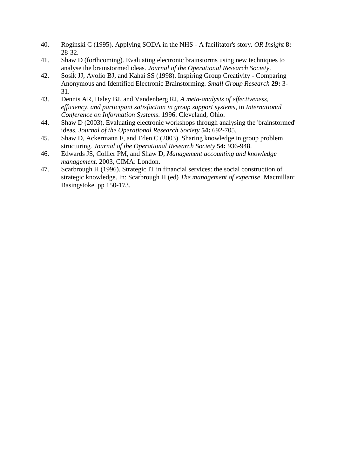- 40. Roginski C (1995). Applying SODA in the NHS A facilitator's story*. OR Insight* **8:** 28-32.
- 41. Shaw D (forthcoming). Evaluating electronic brainstorms using new techniques to analyse the brainstormed ideas*. Journal of the Operational Research Society*.
- 42. Sosik JJ, Avolio BJ, and Kahai SS (1998). Inspiring Group Creativity Comparing Anonymous and Identified Electronic Brainstorming*. Small Group Research* **29:** 3- 31.
- 43. Dennis AR, Haley BJ, and Vandenberg RJ, *A meta-analysis of effectiveness, efficiency, and participant satisfaction in group support systems*, in *International Conference on Information Systems*. 1996: Cleveland, Ohio.
- 44. Shaw D (2003). Evaluating electronic workshops through analysing the 'brainstormed' ideas*. Journal of the Operational Research Society* **54:** 692-705.
- 45. Shaw D, Ackermann F, and Eden C (2003). Sharing knowledge in group problem structuring*. Journal of the Operational Research Society* **54:** 936-948.
- 46. Edwards JS, Collier PM, and Shaw D, *Management accounting and knowledge management*. 2003, CIMA: London.
- 47. Scarbrough H (1996). Strategic IT in financial services: the social construction of strategic knowledge. In: Scarbrough H (ed) *The management of expertise*. Macmillan: Basingstoke. pp 150-173.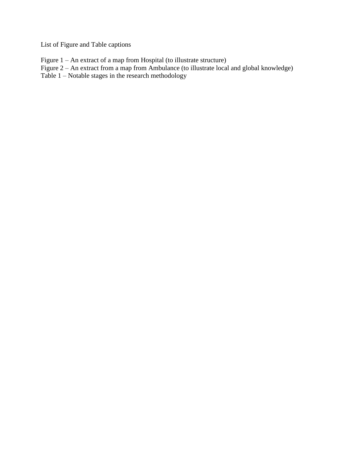List of Figure and Table captions

- Figure 1 An extract of a map from Hospital (to illustrate structure)
- Figure 2 An extract from a map from Ambulance (to illustrate local and global knowledge)
- Table  $1 -$  Notable stages in the research methodology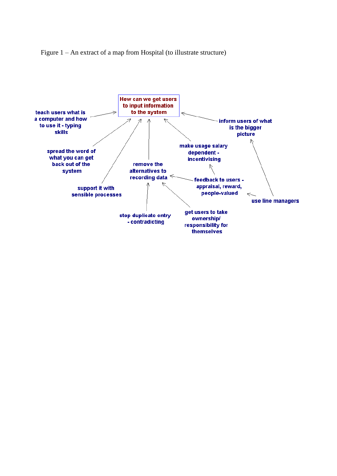

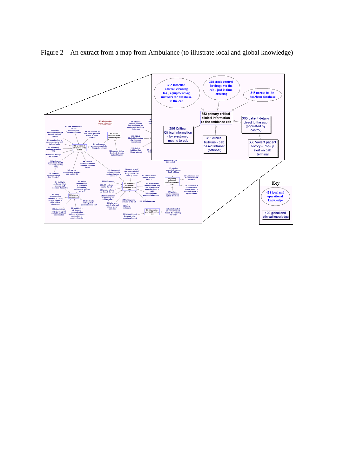